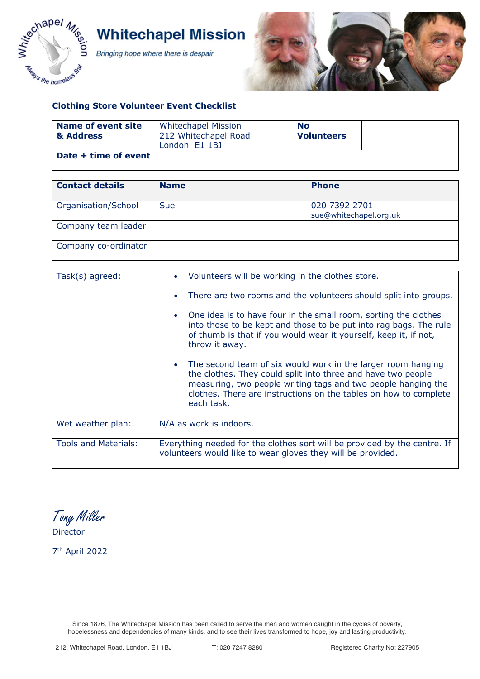

**Whitechapel Mission** 

Bringing hope where there is despair



## **Clothing Store Volunteer Event Checklist**

| <b>Name of event site</b><br>& Address | <b>Whitechapel Mission</b><br>212 Whitechapel Road<br>London E1 1BJ | <b>No</b><br><b>Volunteers</b> |  |
|----------------------------------------|---------------------------------------------------------------------|--------------------------------|--|
| Date + time of event                   |                                                                     |                                |  |

| <b>Contact details</b> | <b>Name</b> | <b>Phone</b>                            |
|------------------------|-------------|-----------------------------------------|
| Organisation/School    | <b>Sue</b>  | 020 7392 2701<br>sue@whitechapel.org.uk |
| Company team leader    |             |                                         |
| Company co-ordinator   |             |                                         |

| Task(s) agreed:             | Volunteers will be working in the clothes store.                                                                                                                                                                                                                                          |  |  |
|-----------------------------|-------------------------------------------------------------------------------------------------------------------------------------------------------------------------------------------------------------------------------------------------------------------------------------------|--|--|
|                             | There are two rooms and the volunteers should split into groups.<br>$\bullet$<br>One idea is to have four in the small room, sorting the clothes<br>into those to be kept and those to be put into rag bags. The rule<br>of thumb is that if you would wear it yourself, keep it, if not, |  |  |
|                             | throw it away.<br>The second team of six would work in the larger room hanging<br>$\bullet$                                                                                                                                                                                               |  |  |
|                             | the clothes. They could split into three and have two people<br>measuring, two people writing tags and two people hanging the<br>clothes. There are instructions on the tables on how to complete<br>each task.                                                                           |  |  |
| Wet weather plan:           | N/A as work is indoors.                                                                                                                                                                                                                                                                   |  |  |
| <b>Tools and Materials:</b> | Everything needed for the clothes sort will be provided by the centre. If<br>volunteers would like to wear gloves they will be provided.                                                                                                                                                  |  |  |

Tony Miller

Director

7th April 2022

Since 1876, The Whitechapel Mission has been called to serve the men and women caught in the cycles of poverty, hopelessness and dependencies of many kinds, and to see their lives transformed to hope, joy and lasting productivity.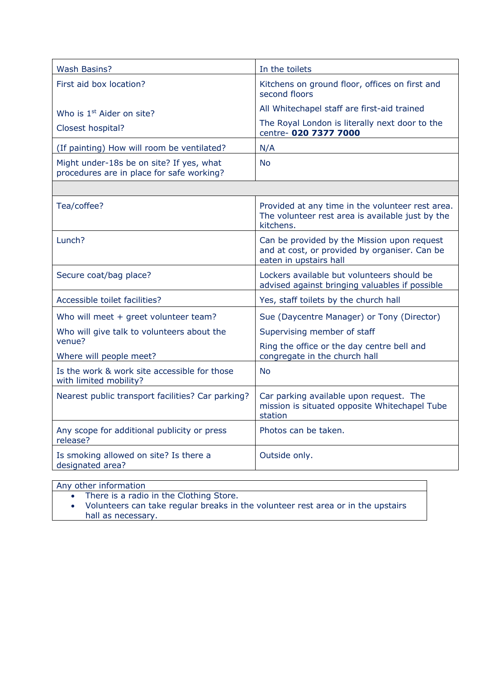| <b>Wash Basins?</b>                                                                   | In the toilets                                                                                                         |
|---------------------------------------------------------------------------------------|------------------------------------------------------------------------------------------------------------------------|
| First aid box location?                                                               | Kitchens on ground floor, offices on first and<br>second floors                                                        |
| Who is 1 <sup>st</sup> Aider on site?                                                 | All Whitechapel staff are first-aid trained                                                                            |
| Closest hospital?                                                                     | The Royal London is literally next door to the<br>centre- 020 7377 7000                                                |
| (If painting) How will room be ventilated?                                            | N/A                                                                                                                    |
| Might under-18s be on site? If yes, what<br>procedures are in place for safe working? | <b>No</b>                                                                                                              |
|                                                                                       |                                                                                                                        |
| Tea/coffee?                                                                           | Provided at any time in the volunteer rest area.<br>The volunteer rest area is available just by the<br>kitchens.      |
| Lunch?                                                                                | Can be provided by the Mission upon request<br>and at cost, or provided by organiser. Can be<br>eaten in upstairs hall |
| Secure coat/bag place?                                                                | Lockers available but volunteers should be<br>advised against bringing valuables if possible                           |
| Accessible toilet facilities?                                                         | Yes, staff toilets by the church hall                                                                                  |
| Who will meet + greet volunteer team?                                                 | Sue (Daycentre Manager) or Tony (Director)                                                                             |
| Who will give talk to volunteers about the                                            | Supervising member of staff                                                                                            |
| venue?<br>Where will people meet?                                                     | Ring the office or the day centre bell and<br>congregate in the church hall                                            |
| Is the work & work site accessible for those<br>with limited mobility?                | N <sub>0</sub>                                                                                                         |
| Nearest public transport facilities? Car parking?                                     | Car parking available upon request. The<br>mission is situated opposite Whitechapel Tube<br>station                    |
| Any scope for additional publicity or press<br>release?                               | Photos can be taken.                                                                                                   |
| Is smoking allowed on site? Is there a<br>designated area?                            | Outside only.                                                                                                          |

## Any other information • There is a radio in the Clothing Store. • Volunteers can take regular breaks in the volunteer rest area or in the upstairs

hall as necessary.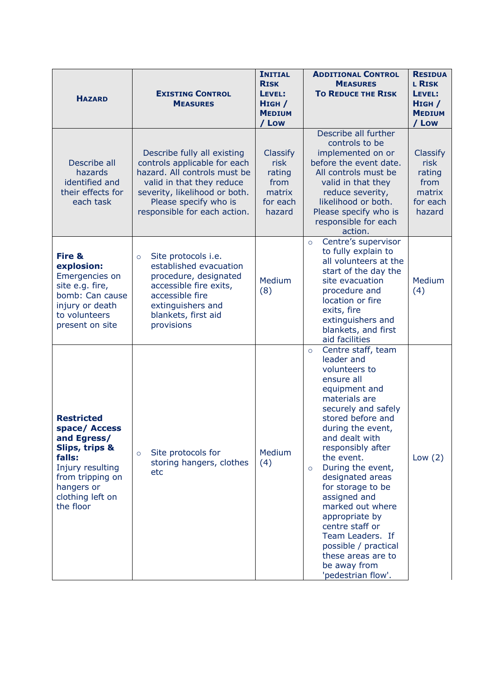| <b>HAZARD</b>                                                                                                                                                        | <b>EXISTING CONTROL</b><br><b>MEASURES</b>                                                                                                                                                                         | <b>INITIAL</b><br><b>RISK</b><br>LEVEL:<br>HIGH /<br><b>MEDIUM</b><br>/ Low | <b>ADDITIONAL CONTROL</b><br><b>MEASURES</b><br><b>TO REDUCE THE RISK</b>                                                                                                                                                                                                                                                                                                                                                                                                                    | <b>RESIDUA</b><br><b>L RISK</b><br>LEVEL:<br>$H$ IGH $/$<br><b>MEDIUM</b><br>/ Low |
|----------------------------------------------------------------------------------------------------------------------------------------------------------------------|--------------------------------------------------------------------------------------------------------------------------------------------------------------------------------------------------------------------|-----------------------------------------------------------------------------|----------------------------------------------------------------------------------------------------------------------------------------------------------------------------------------------------------------------------------------------------------------------------------------------------------------------------------------------------------------------------------------------------------------------------------------------------------------------------------------------|------------------------------------------------------------------------------------|
| Describe all<br>hazards<br>identified and<br>their effects for<br>each task                                                                                          | Describe fully all existing<br>controls applicable for each<br>hazard. All controls must be<br>valid in that they reduce<br>severity, likelihood or both.<br>Please specify who is<br>responsible for each action. | <b>Classify</b><br>risk<br>rating<br>from<br>matrix<br>for each<br>hazard   | Describe all further<br>controls to be<br>implemented on or<br>before the event date.<br>All controls must be<br>valid in that they<br>reduce severity,<br>likelihood or both.<br>Please specify who is<br>responsible for each<br>action.                                                                                                                                                                                                                                                   | Classify<br><b>risk</b><br>rating<br>from<br>matrix<br>for each<br>hazard          |
| Fire &<br>explosion:<br>Emergencies on<br>site e.g. fire,<br>bomb: Can cause<br>injury or death<br>to volunteers<br>present on site                                  | Site protocols i.e.<br>$\circ$<br>established evacuation<br>procedure, designated<br>accessible fire exits,<br>accessible fire<br>extinguishers and<br>blankets, first aid<br>provisions                           | <b>Medium</b><br>(8)                                                        | Centre's supervisor<br>$\circ$<br>to fully explain to<br>all volunteers at the<br>start of the day the<br>site evacuation<br>procedure and<br>location or fire<br>exits, fire<br>extinguishers and<br>blankets, and first<br>aid facilities                                                                                                                                                                                                                                                  | Medium<br>(4)                                                                      |
| <b>Restricted</b><br>space/ Access<br>and Egress/<br>Slips, trips &<br>falls:<br>Injury resulting<br>from tripping on<br>hangers or<br>clothing left on<br>the floor | Site protocols for<br>$\circ$<br>storing hangers, clothes<br>etc                                                                                                                                                   | Medium<br>(4)                                                               | Centre staff, team<br>$\circ$<br>leader and<br>volunteers to<br>ensure all<br>equipment and<br>materials are<br>securely and safely<br>stored before and<br>during the event,<br>and dealt with<br>responsibly after<br>the event.<br>During the event,<br>$\circ$<br>designated areas<br>for storage to be<br>assigned and<br>marked out where<br>appropriate by<br>centre staff or<br>Team Leaders. If<br>possible / practical<br>these areas are to<br>be away from<br>'pedestrian flow'. | Low $(2)$                                                                          |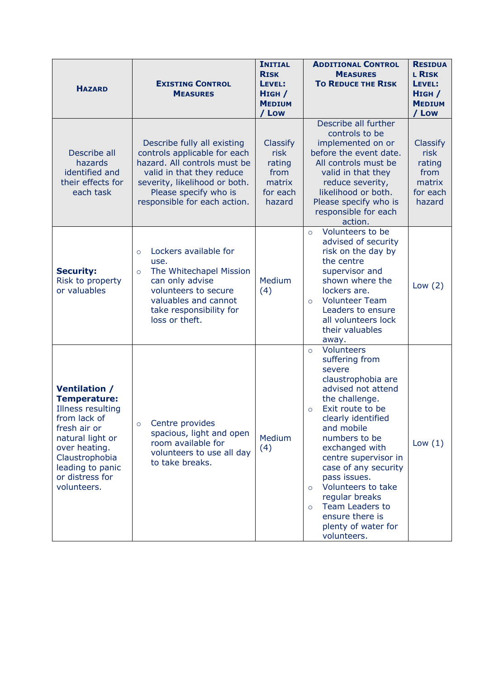| <b>HAZARD</b>                                                                                                                                                                                                 | <b>EXISTING CONTROL</b><br><b>MEASURES</b>                                                                                                                                                                         | <b>INITIAL</b><br><b>RISK</b><br>LEVEL:<br>$H$ IGH $/$<br><b>MEDIUM</b><br>/ Low | <b>ADDITIONAL CONTROL</b><br><b>MEASURES</b><br><b>TO REDUCE THE RISK</b>                                                                                                                                                                                                                                                                                                                                                       | <b>RESIDUA</b><br><b>L RISK</b><br>LEVEL:<br>$H$ IGH $/$<br><b>MEDIUM</b><br>Low |
|---------------------------------------------------------------------------------------------------------------------------------------------------------------------------------------------------------------|--------------------------------------------------------------------------------------------------------------------------------------------------------------------------------------------------------------------|----------------------------------------------------------------------------------|---------------------------------------------------------------------------------------------------------------------------------------------------------------------------------------------------------------------------------------------------------------------------------------------------------------------------------------------------------------------------------------------------------------------------------|----------------------------------------------------------------------------------|
| Describe all<br>hazards<br>identified and<br>their effects for<br>each task                                                                                                                                   | Describe fully all existing<br>controls applicable for each<br>hazard. All controls must be<br>valid in that they reduce<br>severity, likelihood or both.<br>Please specify who is<br>responsible for each action. | Classify<br><b>risk</b><br>rating<br>from<br>matrix<br>for each<br>hazard        | Describe all further<br>controls to be<br>implemented on or<br>before the event date.<br>All controls must be<br>valid in that they<br>reduce severity,<br>likelihood or both.<br>Please specify who is<br>responsible for each<br>action.                                                                                                                                                                                      | Classify<br>risk<br>rating<br>from<br>matrix<br>for each<br>hazard               |
| <b>Security:</b><br>Risk to property<br>or valuables                                                                                                                                                          | Lockers available for<br>$\circ$<br>use.<br>The Whitechapel Mission<br>$\circ$<br>can only advise<br>volunteers to secure<br>valuables and cannot<br>take responsibility for<br>loss or theft.                     | Medium<br>(4)                                                                    | Volunteers to be<br>$\circ$<br>advised of security<br>risk on the day by<br>the centre<br>supervisor and<br>shown where the<br>lockers are.<br><b>Volunteer Team</b><br>$\circ$<br>Leaders to ensure<br>all volunteers lock<br>their valuables<br>away.                                                                                                                                                                         | Low $(2)$                                                                        |
| <b>Ventilation /</b><br><b>Temperature:</b><br>Illness resulting<br>from lack of<br>fresh air or<br>natural light or<br>over heating.<br>Claustrophobia<br>leading to panic<br>or distress for<br>volunteers. | Centre provides<br>$\circ$<br>spacious, light and open<br>room available for<br>volunteers to use all day<br>to take breaks.                                                                                       | <b>Medium</b><br>(4)                                                             | Volunteers<br>$\circ$<br>suffering from<br>severe<br>claustrophobia are<br>advised not attend<br>the challenge.<br>Exit route to be<br>$\circ$<br>clearly identified<br>and mobile<br>numbers to be<br>exchanged with<br>centre supervisor in<br>case of any security<br>pass issues.<br>Volunteers to take<br>$\circ$<br>regular breaks<br>Team Leaders to<br>$\circ$<br>ensure there is<br>plenty of water for<br>volunteers. | Low $(1)$                                                                        |